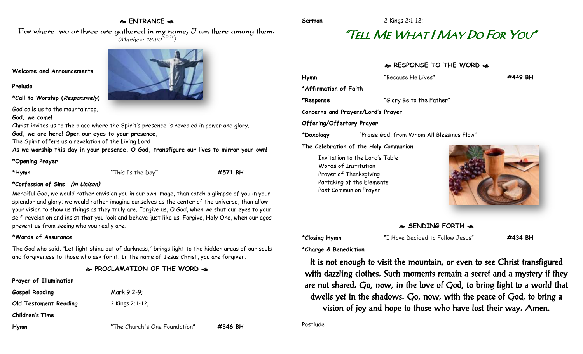## **ENTRANCE**

**Sermon** 2 Kings 2:1-12;

# "TELL ME WHAT I MAY DO FOR YOU"

# **RESPONSE TO THE WORD**  $\approx$

| Hymn                      | "Because He Lives"                         | #449 BH |
|---------------------------|--------------------------------------------|---------|
| *Affirmation of Faith     |                                            |         |
| *Response                 | "Glory Be to the Father"                   |         |
|                           | Concerns and Prayers/Lord's Prayer         |         |
| Offering/Offertory Prayer |                                            |         |
| *Doxology                 | "Praise God, from Whom All Blessings Flow" |         |
|                           | The Celebration of the Holy Communion      |         |
|                           | Invitation to the Lord's Table             |         |
|                           | Words of Institution                       |         |
|                           | Prayer of Thanksgiving                     |         |
|                           | Partaking of the Elements                  |         |
|                           | Post Communion Prayer                      |         |

#### **SENDING FORTH**

**\*Closing Hymn** "I Have Decided to Follow Jesus" **#434 BH**

**\*Charge & Benediction**

It is not enough to visit the mountain, or even to see Christ transfigured with dazzling clothes. Such moments remain a secret and a mystery if they are not shared. Go, now, in the love of God, to bring light to a world that dwells yet in the shadows. Go, now, with the peace of God, to bring a vision of joy and hope to those who have lost their way. Amen.

Postlude

For where two or three are gathered in my name, I am there among them.  $(M$ atthew 18:20 $^{NRSV})$ 

#### **Welcome and Announcements**

#### **Prelude**

**\*Call to Worship (Responsively)** 

God calls us to the mountaintop.

#### **God, we come!**

Christ invites us to the place where the Spirit's presence is revealed in power and glory.

### **God, we are here! Open our eyes to your presence,**

The Spirit offers us a revelation of the Living Lord

**As we worship this day in your presence, O God, transfigure our lives to mirror your own!**

#### **\*Opening Prayer**

**\*Hymn** "This Is the Day**" #571 BH**

#### **\*Confession of Sins (in Unison)**

Merciful God, we would rather envision you in our own image, than catch a glimpse of you in your splendor and glory; we would rather imagine ourselves as the center of the universe, than allow your vision to show us things as they truly are. Forgive us, O God, when we shut our eyes to your self-revelation and insist that you look and behave just like us. Forgive, Holy One, when our egos prevent us from seeing who you really are.

#### **\*Words of Assurance**

The God who said, "Let light shine out of darkness," brings light to the hidden areas of our souls and forgiveness to those who ask for it. In the name of Jesus Christ, you are forgiven.

### **PROCLAMATION OF THE WORD**

# **Prayer of Illumination Gospel Reading** Mark 9:2-9;

**Old Testament Reading** 2 Kings 2:1-12;

**Children's Time**

**Hymn** "The Church's One Foundation" **#346 BH**